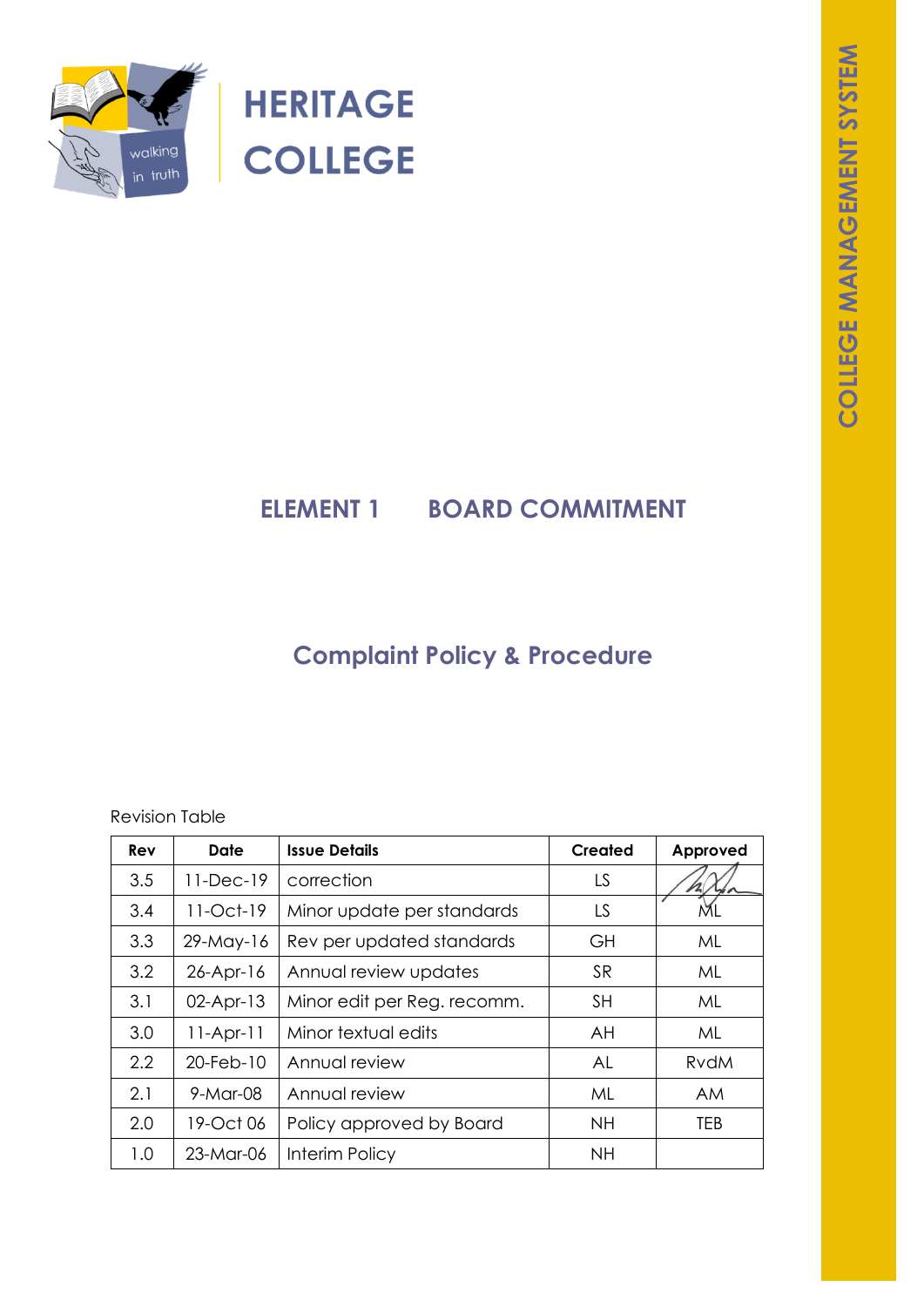

**HERITAGE COLLEGE** 

# **ELEMENT 1 BOARD COMMITMENT**

# **Complaint Policy & Procedure**

Revision Table

| Rev | Date         | <b>Issue Details</b>        | <b>Created</b> | Approved    |
|-----|--------------|-----------------------------|----------------|-------------|
| 3.5 | $11-Dec-19$  | correction                  | LS             |             |
| 3.4 | $11-Oct-19$  | Minor update per standards  | LS             | ML          |
| 3.3 | $29$ -May-16 | Rev per updated standards   | GH             | ML          |
| 3.2 | $26$ -Apr-16 | Annual review updates       | <b>SR</b>      | ML          |
| 3.1 | $02$ -Apr-13 | Minor edit per Reg. recomm. | <b>SH</b>      | ML          |
| 3.0 | $11-Apr-11$  | Minor textual edits         | AH             | ML          |
| 2.2 | 20-Feb-10    | Annual review               | AL             | <b>RvdM</b> |
| 2.1 | 9-Mar-08     | Annual review               | ML             | AM.         |
| 2.0 | 19-Oct 06    | Policy approved by Board    | <b>NH</b>      | TEB         |
| 1.0 | 23-Mar-06    | Interim Policy              | <b>NH</b>      |             |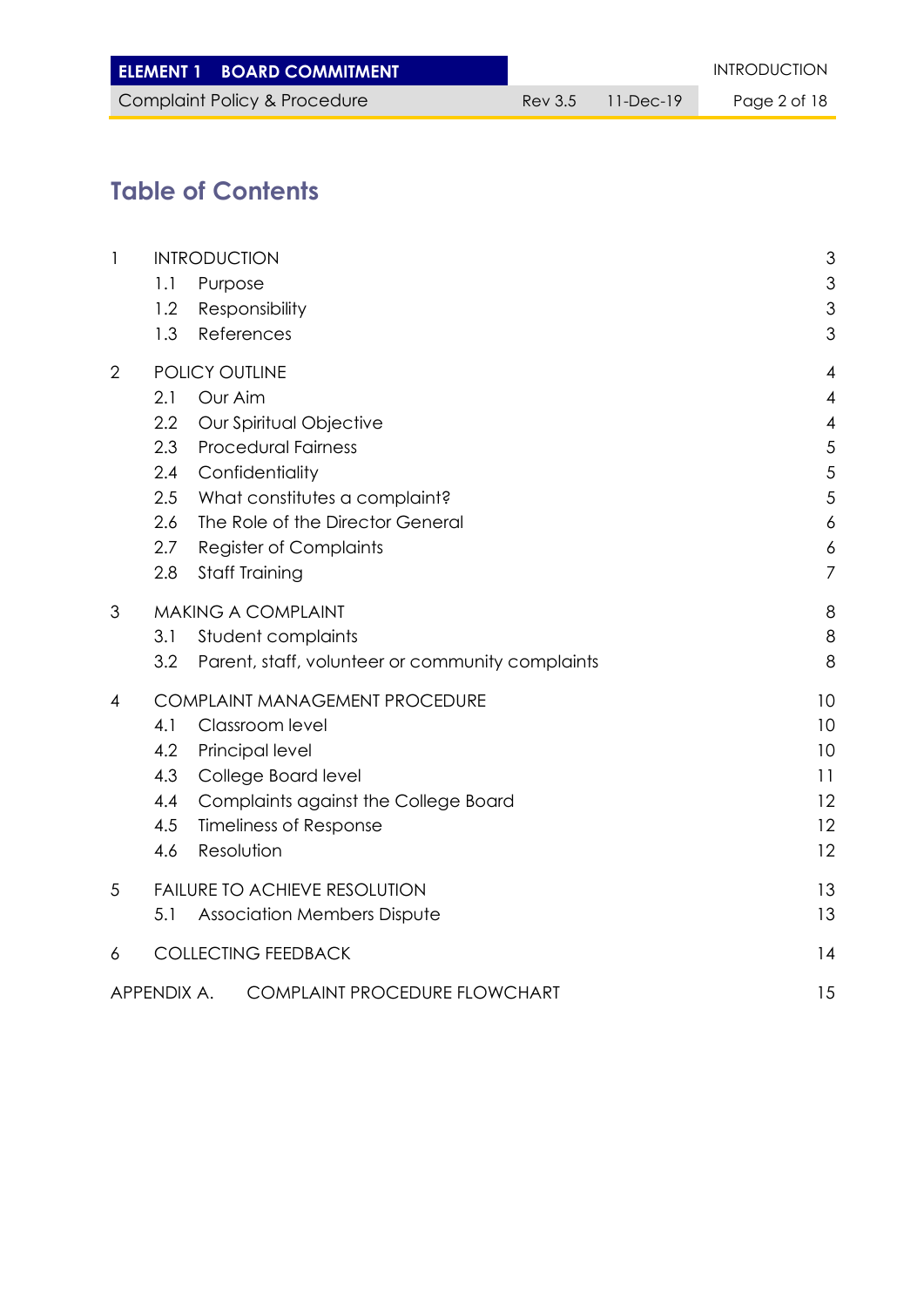| <b>ELEMENT 1 BOARD COMMITMENT</b> |                   | <b>INTRODUCTION</b> |
|-----------------------------------|-------------------|---------------------|
| Complaint Policy & Procedure      | Rev 3.5 11-Dec-19 | Page 2 of 18        |

# **Table of Contents**

| $\mathbf{I}$   | <b>INTRODUCTION</b>                                     | 3                        |
|----------------|---------------------------------------------------------|--------------------------|
|                | 1.1<br>Purpose                                          | 3                        |
|                | Responsibility<br>1.2                                   | 3                        |
|                | 1.3<br>References                                       | 3                        |
| $\overline{2}$ | POLICY OUTLINE                                          | $\overline{4}$           |
|                | Our Aim<br>2.1                                          | $\overline{4}$           |
|                | 2.2<br>Our Spiritual Objective                          | $\overline{\mathcal{A}}$ |
|                | <b>Procedural Fairness</b><br>2.3                       | 5                        |
|                | Confidentiality<br>2.4                                  | 5                        |
|                | What constitutes a complaint?<br>2.5                    | 5                        |
|                | The Role of the Director General<br>2.6                 | $\boldsymbol{6}$         |
|                | 2.7<br><b>Register of Complaints</b>                    | 6                        |
|                | <b>Staff Training</b><br>2.8                            | $\overline{7}$           |
| 3              | <b>MAKING A COMPLAINT</b>                               | 8                        |
|                | Student complaints<br>3.1                               | 8                        |
|                | Parent, staff, volunteer or community complaints<br>3.2 | 8                        |
| 4              | COMPLAINT MANAGEMENT PROCEDURE                          | 10                       |
|                | 4.1<br>Classroom level                                  | 10                       |
|                | 4.2<br>Principal level                                  | 10                       |
|                | 4.3<br>College Board level                              | 11                       |
|                | Complaints against the College Board<br>4.4             | 12                       |
|                | 4.5<br><b>Timeliness of Response</b>                    | 12                       |
|                | Resolution<br>4.6                                       | 12                       |
| 5              | <b>FAILURE TO ACHIEVE RESOLUTION</b>                    | 13                       |
|                | <b>Association Members Dispute</b><br>5.1               | 13                       |
| 6              | <b>COLLECTING FEEDBACK</b>                              | 14                       |
|                | APPENDIX A.<br><b>COMPLAINT PROCEDURE FLOWCHART</b>     | 15                       |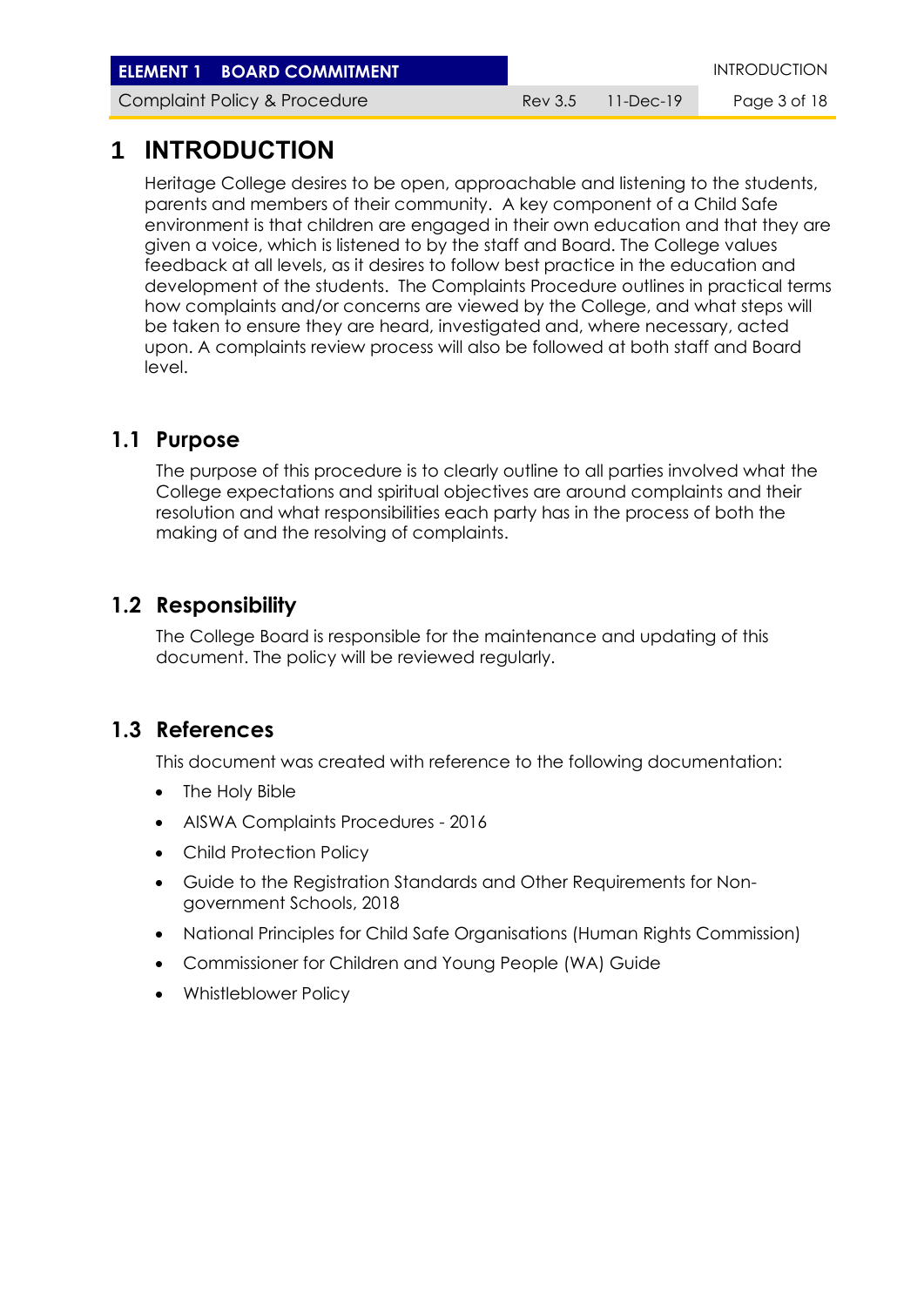**ELEMENT 1 BOARD COMMITMENT INTRODUCTION** 

Complaint Policy & Procedure **Rev 3.5 11-Dec-19** Page 3 of 18

## **1 INTRODUCTION**

Heritage College desires to be open, approachable and listening to the students, parents and members of their community. A key component of a Child Safe environment is that children are engaged in their own education and that they are given a voice, which is listened to by the staff and Board. The College values feedback at all levels, as it desires to follow best practice in the education and development of the students. The Complaints Procedure outlines in practical terms how complaints and/or concerns are viewed by the College, and what steps will be taken to ensure they are heard, investigated and, where necessary, acted upon. A complaints review process will also be followed at both staff and Board level.

### **1.1 Purpose**

The purpose of this procedure is to clearly outline to all parties involved what the College expectations and spiritual objectives are around complaints and their resolution and what responsibilities each party has in the process of both the making of and the resolving of complaints.

### **1.2 Responsibility**

The College Board is responsible for the maintenance and updating of this document. The policy will be reviewed regularly.

### **1.3 References**

This document was created with reference to the following documentation:

- The Holy Bible
- AISWA Complaints Procedures 2016
- Child Protection Policy
- Guide to the Registration Standards and Other Requirements for Nongovernment Schools, 2018
- National Principles for Child Safe Organisations (Human Rights Commission)
- Commissioner for Children and Young People (WA) Guide
- Whistleblower Policy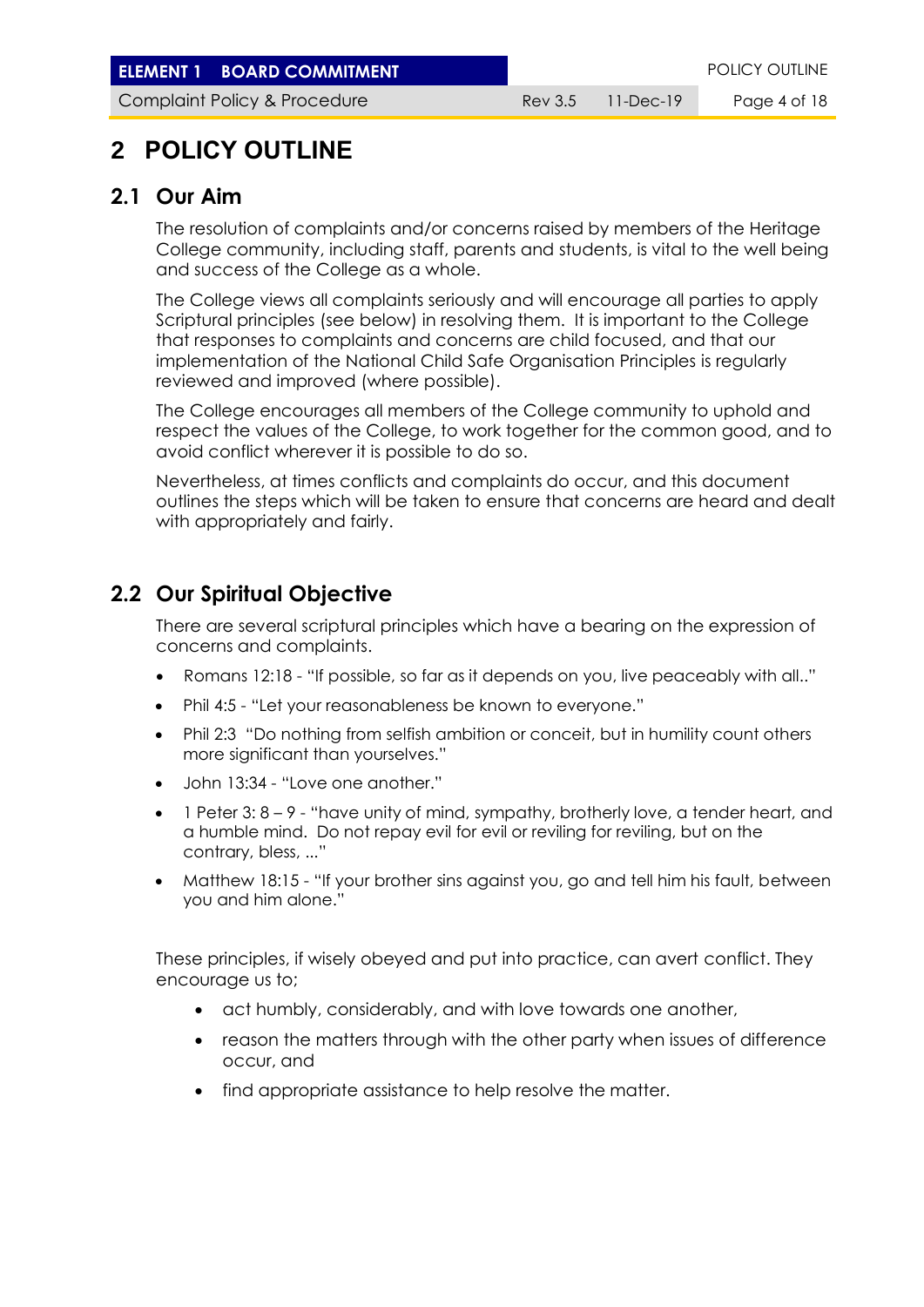**ELEMENT 1 BOARD COMMITMENT ELEMENT POLICY OUTLINE** 

Complaint Policy & Procedure **Rev 3.5 11-Dec-19** Page 4 of 18

## **2 POLICY OUTLINE**

#### **2.1 Our Aim**

The resolution of complaints and/or concerns raised by members of the Heritage College community, including staff, parents and students, is vital to the well being and success of the College as a whole.

The College views all complaints seriously and will encourage all parties to apply Scriptural principles (see below) in resolving them. It is important to the College that responses to complaints and concerns are child focused, and that our implementation of the National Child Safe Organisation Principles is regularly reviewed and improved (where possible).

The College encourages all members of the College community to uphold and respect the values of the College, to work together for the common good, and to avoid conflict wherever it is possible to do so.

Nevertheless, at times conflicts and complaints do occur, and this document outlines the steps which will be taken to ensure that concerns are heard and dealt with appropriately and fairly.

#### **2.2 Our Spiritual Objective**

There are several scriptural principles which have a bearing on the expression of concerns and complaints.

- Romans 12:18 "If possible, so far as it depends on you, live peaceably with all.."
- Phil 4:5 "Let your reasonableness be known to everyone."
- Phil 2:3 "Do nothing from selfish ambition or conceit, but in humility count others more significant than yourselves."
- John 13:34 "Love one another."
- $\bullet$  1 Peter 3:  $8 9$  "have unity of mind, sympathy, brotherly love, a tender heart, and a humble mind. Do not repay evil for evil or reviling for reviling, but on the contrary, bless, ..."
- Matthew 18:15 "If your brother sins against you, go and tell him his fault, between you and him alone."

These principles, if wisely obeyed and put into practice, can avert conflict. They encourage us to;

- act humbly, considerably, and with love towards one another,
- reason the matters through with the other party when issues of difference occur, and
- find appropriate assistance to help resolve the matter.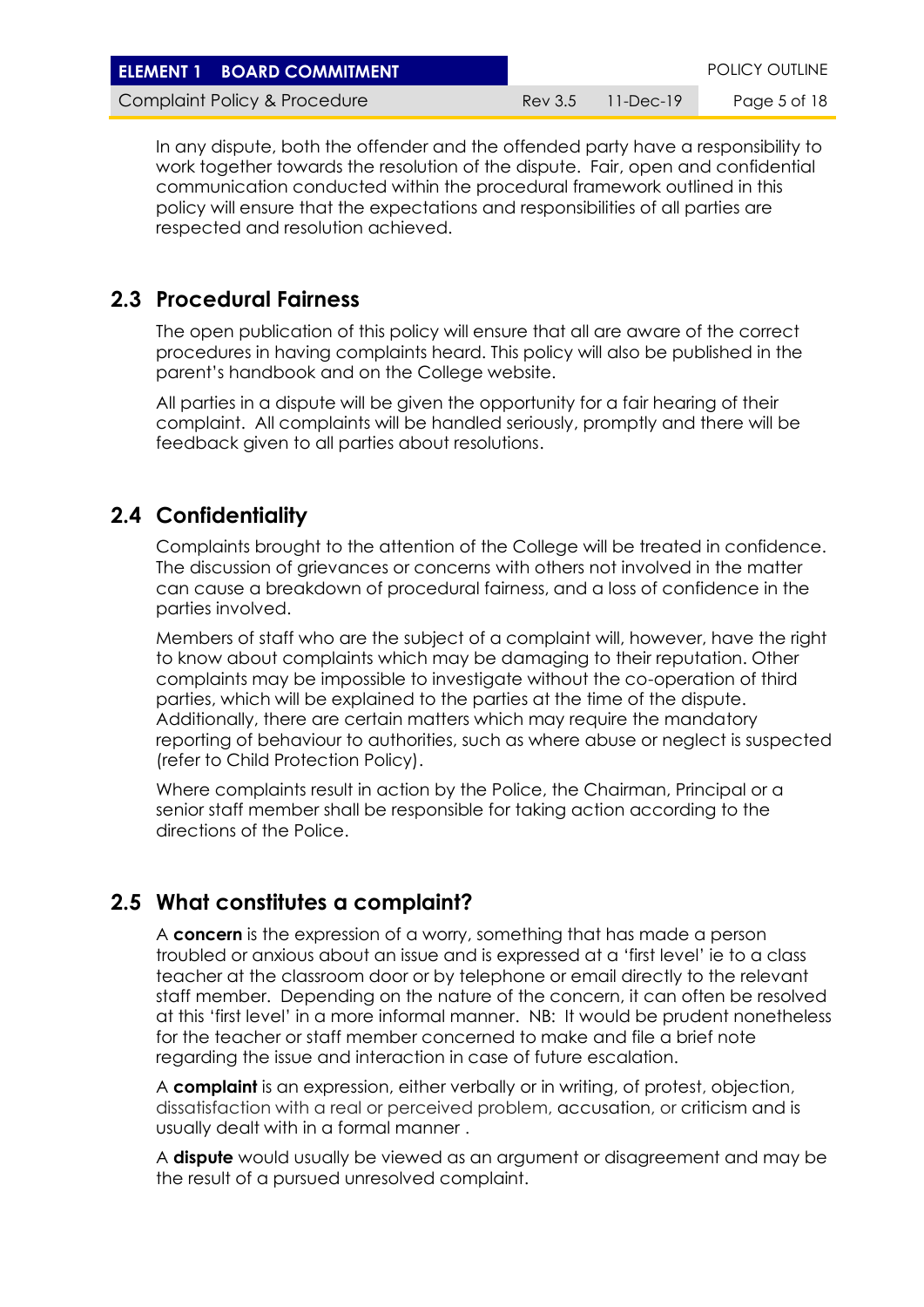| <b>ELEMENT 1 BOARD COMMITMENT</b> |                         | <b>POLICY OUTLINE</b> |
|-----------------------------------|-------------------------|-----------------------|
| Complaint Policy & Procedure      | $Rev 3.5 = 11 - Dec-19$ | Page 5 of 18          |

In any dispute, both the offender and the offended party have a responsibility to work together towards the resolution of the dispute. Fair, open and confidential communication conducted within the procedural framework outlined in this policy will ensure that the expectations and responsibilities of all parties are respected and resolution achieved.

#### **2.3 Procedural Fairness**

The open publication of this policy will ensure that all are aware of the correct procedures in having complaints heard. This policy will also be published in the parent's handbook and on the College website.

All parties in a dispute will be given the opportunity for a fair hearing of their complaint. All complaints will be handled seriously, promptly and there will be feedback given to all parties about resolutions.

#### **2.4 Confidentiality**

Complaints brought to the attention of the College will be treated in confidence. The discussion of grievances or concerns with others not involved in the matter can cause a breakdown of procedural fairness, and a loss of confidence in the parties involved.

Members of staff who are the subject of a complaint will, however, have the right to know about complaints which may be damaging to their reputation. Other complaints may be impossible to investigate without the co-operation of third parties, which will be explained to the parties at the time of the dispute. Additionally, there are certain matters which may require the mandatory reporting of behaviour to authorities, such as where abuse or neglect is suspected (refer to Child Protection Policy).

Where complaints result in action by the Police, the Chairman, Principal or a senior staff member shall be responsible for taking action according to the directions of the Police.

#### **2.5 What constitutes a complaint?**

A **concern** is the expression of a worry, something that has made a person troubled or anxious about an issue and is expressed at a 'first level' ie to a class teacher at the classroom door or by telephone or email directly to the relevant staff member. Depending on the nature of the concern, it can often be resolved at this 'first level' in a more informal manner. NB: It would be prudent nonetheless for the teacher or staff member concerned to make and file a brief note regarding the issue and interaction in case of future escalation.

A **complaint** is an expression, either verbally or in writing, of protest, objection, dissatisfaction with a real or perceived problem, accusation, or criticism and is usually dealt with in a formal manner .

A **dispute** would usually be viewed as an argument or disagreement and may be the result of a pursued unresolved complaint.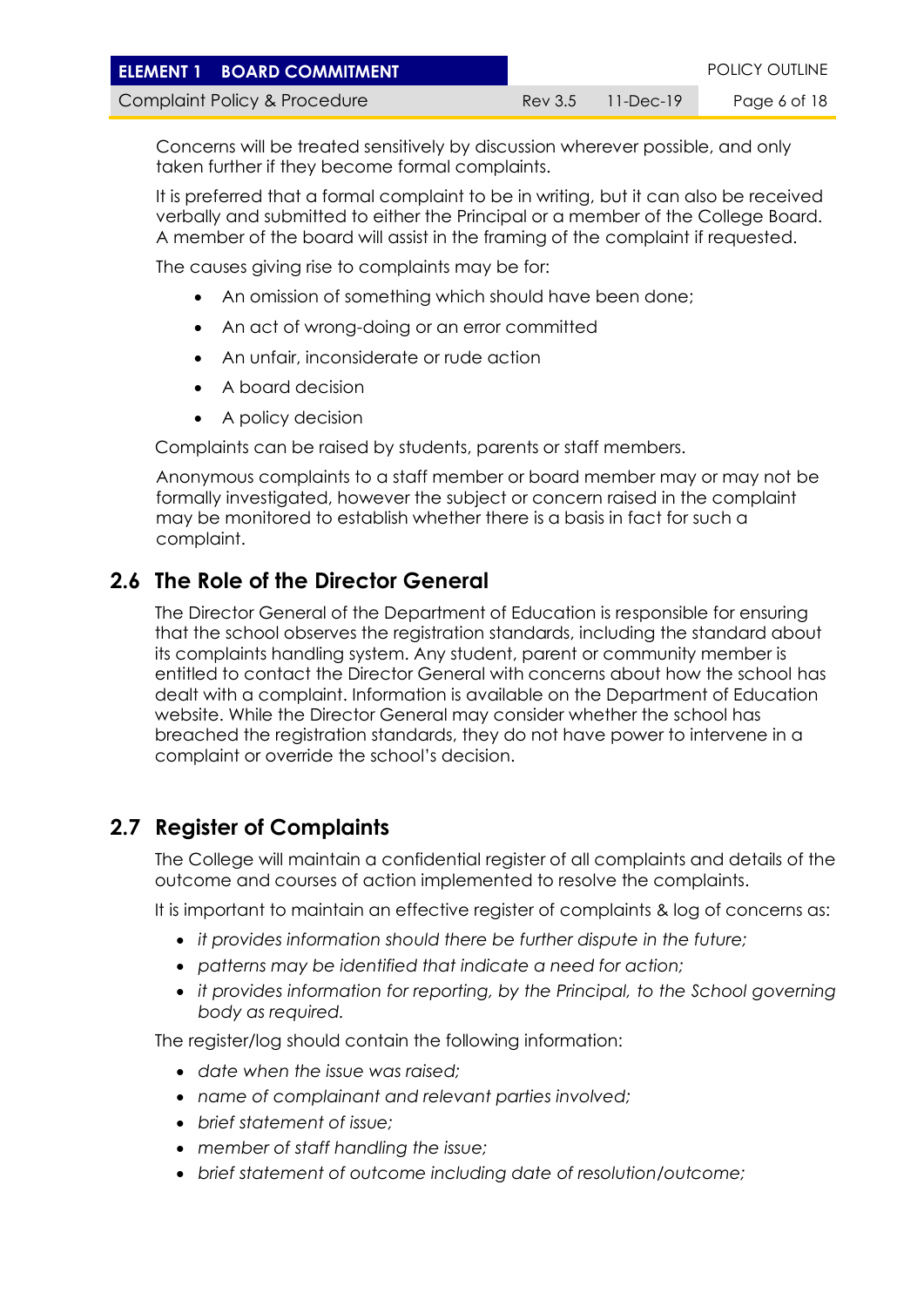| <b>ELEMENT 1 BOARD COMMITMENT</b> |                   | <b>POLICY OUTLINE</b> |
|-----------------------------------|-------------------|-----------------------|
| Complaint Policy & Procedure      | Rev 3.5 11-Dec-19 | Page 6 of 18          |

Concerns will be treated sensitively by discussion wherever possible, and only taken further if they become formal complaints.

It is preferred that a formal complaint to be in writing, but it can also be received verbally and submitted to either the Principal or a member of the College Board. A member of the board will assist in the framing of the complaint if requested.

The causes giving rise to complaints may be for:

- An omission of something which should have been done;
- An act of wrong-doing or an error committed
- An unfair, inconsiderate or rude action
- A board decision
- A policy decision

Complaints can be raised by students, parents or staff members.

Anonymous complaints to a staff member or board member may or may not be formally investigated, however the subject or concern raised in the complaint may be monitored to establish whether there is a basis in fact for such a complaint.

#### <span id="page-5-0"></span>**2.6 The Role of the Director General**

The Director General of the Department of Education is responsible for ensuring that the school observes the registration standards, including the standard about its complaints handling system. Any student, parent or community member is entitled to contact the Director General with concerns about how the school has dealt with a complaint. Information is available on the Department of Education website. While the Director General may consider whether the school has breached the registration standards, they do not have power to intervene in a complaint or override the school's decision.

#### **2.7 Register of Complaints**

The College will maintain a confidential register of all complaints and details of the outcome and courses of action implemented to resolve the complaints.

It is important to maintain an effective register of complaints & log of concerns as:

- *it provides information should there be further dispute in the future;*
- *patterns may be identified that indicate a need for action;*
- *it provides information for reporting, by the Principal, to the School governing body as required.*

The register/log should contain the following information:

- *date when the issue was raised;*
- *name of complainant and relevant parties involved;*
- *brief statement of issue;*
- *member of staff handling the issue;*
- *brief statement of outcome including date of resolution/outcome;*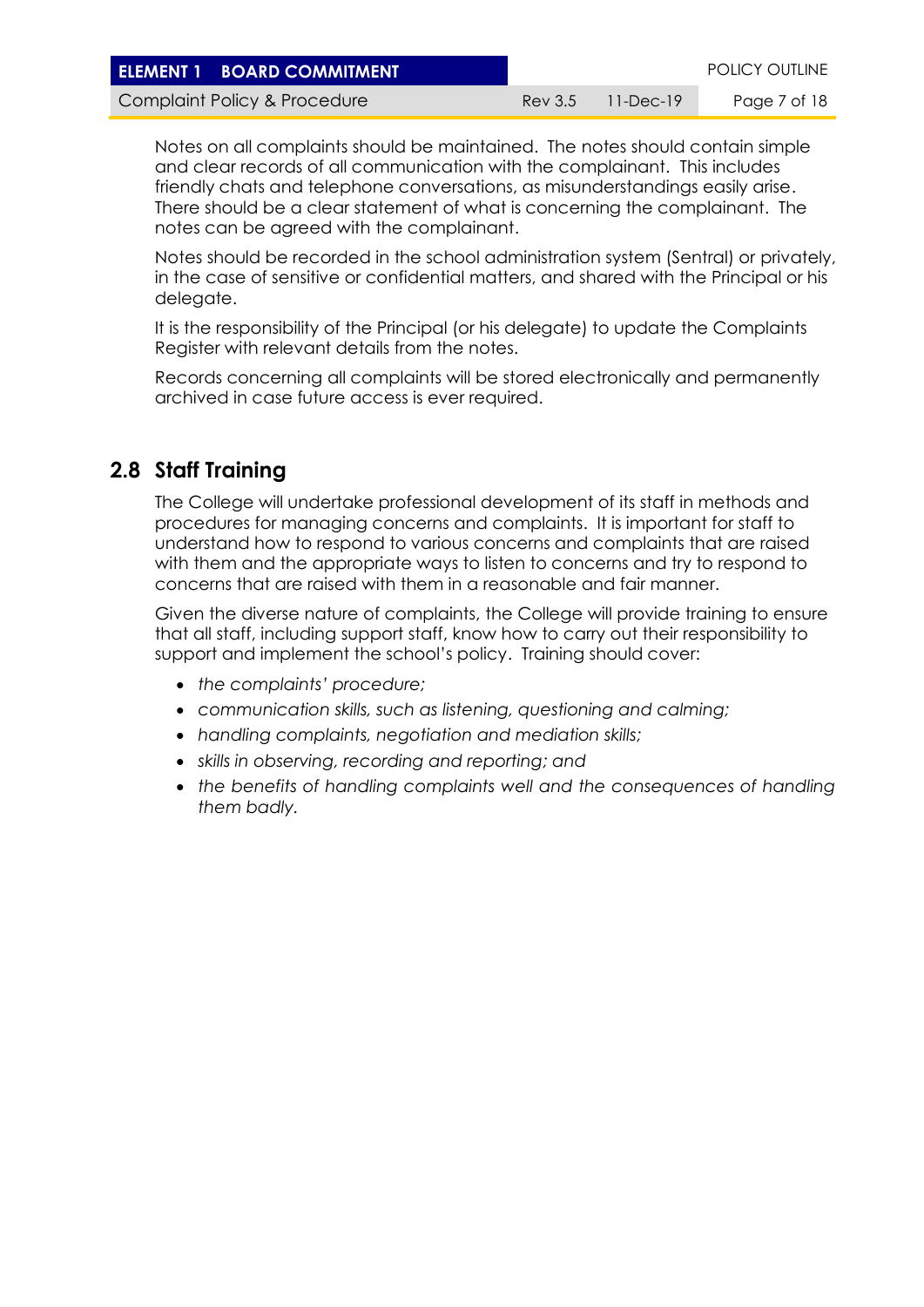| <b>ELEMENT 1 BOARD COMMITMENT</b> |                   | <b>POLICY OUTLINE</b> |
|-----------------------------------|-------------------|-----------------------|
| Complaint Policy & Procedure      | Rev 3.5 11-Dec-19 | Page 7 of 18          |

Notes on all complaints should be maintained. The notes should contain simple and clear records of all communication with the complainant. This includes friendly chats and telephone conversations, as misunderstandings easily arise. There should be a clear statement of what is concerning the complainant. The notes can be agreed with the complainant.

Notes should be recorded in the school administration system (Sentral) or privately, in the case of sensitive or confidential matters, and shared with the Principal or his delegate.

It is the responsibility of the Principal (or his delegate) to update the Complaints Register with relevant details from the notes.

Records concerning all complaints will be stored electronically and permanently archived in case future access is ever required.

#### **2.8 Staff Training**

The College will undertake professional development of its staff in methods and procedures for managing concerns and complaints. It is important for staff to understand how to respond to various concerns and complaints that are raised with them and the appropriate ways to listen to concerns and try to respond to concerns that are raised with them in a reasonable and fair manner.

Given the diverse nature of complaints, the College will provide training to ensure that all staff, including support staff, know how to carry out their responsibility to support and implement the school's policy. Training should cover:

- *the complaints' procedure;*
- *communication skills, such as listening, questioning and calming;*
- *handling complaints, negotiation and mediation skills;*
- *skills in observing, recording and reporting; and*
- *the benefits of handling complaints well and the consequences of handling them badly.*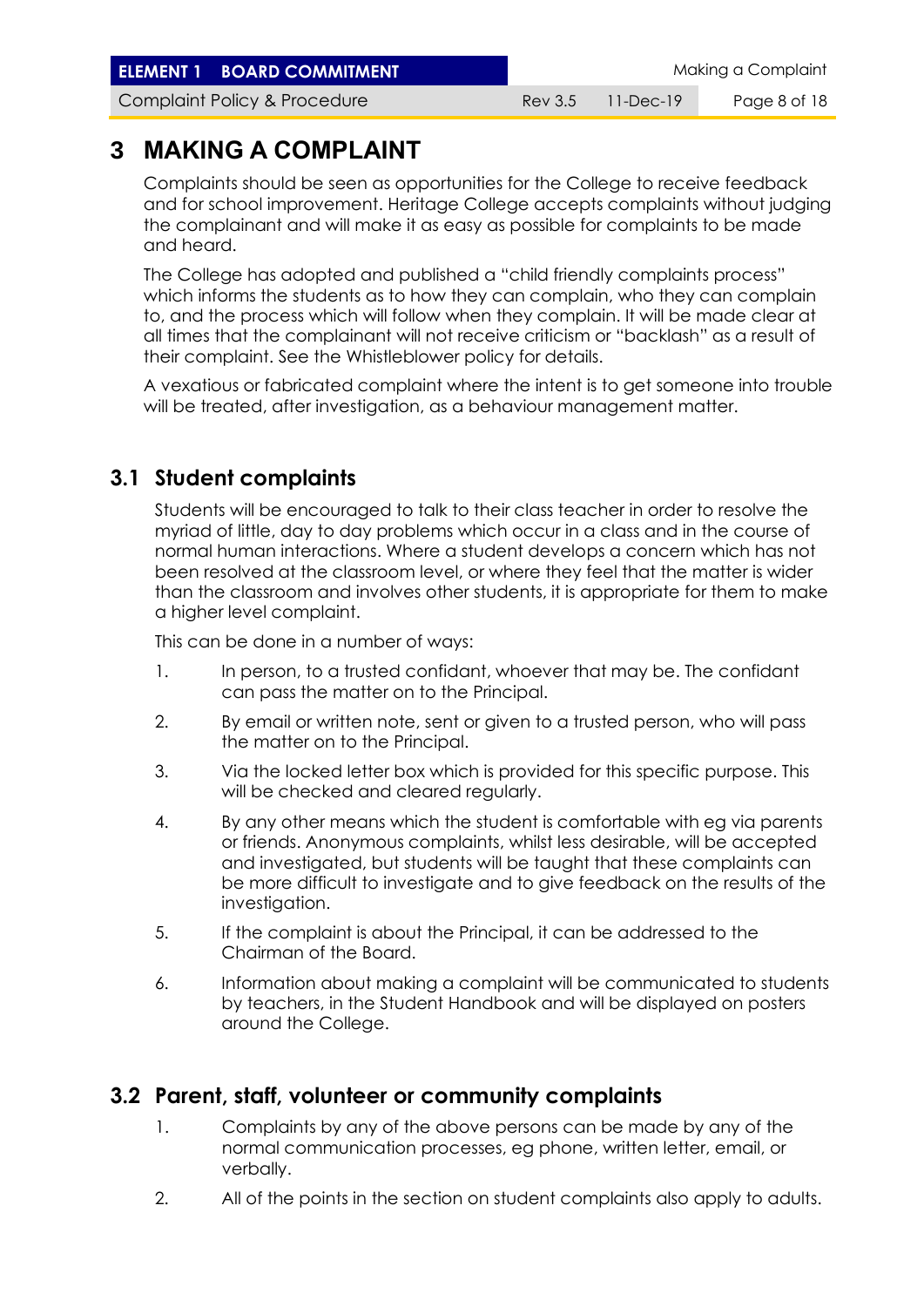**ELEMENT 1 BOARD COMMITMENT ELEMENT** Making a Complaint

Complaint Policy & Procedure **Rev 3.5 11-Dec-19** Page 8 of 18

## **3 MAKING A COMPLAINT**

Complaints should be seen as opportunities for the College to receive feedback and for school improvement. Heritage College accepts complaints without judging the complainant and will make it as easy as possible for complaints to be made and heard.

The College has adopted and published a "child friendly complaints process" which informs the students as to how they can complain, who they can complain to, and the process which will follow when they complain. It will be made clear at all times that the complainant will not receive criticism or "backlash" as a result of their complaint. See the Whistleblower policy for details.

A vexatious or fabricated complaint where the intent is to get someone into trouble will be treated, after investigation, as a behaviour management matter.

#### **3.1 Student complaints**

Students will be encouraged to talk to their class teacher in order to resolve the myriad of little, day to day problems which occur in a class and in the course of normal human interactions. Where a student develops a concern which has not been resolved at the classroom level, or where they feel that the matter is wider than the classroom and involves other students, it is appropriate for them to make a higher level complaint.

This can be done in a number of ways:

- 1. In person, to a trusted confidant, whoever that may be. The confidant can pass the matter on to the Principal.
- 2. By email or written note, sent or given to a trusted person, who will pass the matter on to the Principal.
- 3. Via the locked letter box which is provided for this specific purpose. This will be checked and cleared regularly.
- 4. By any other means which the student is comfortable with eg via parents or friends. Anonymous complaints, whilst less desirable, will be accepted and investigated, but students will be taught that these complaints can be more difficult to investigate and to give feedback on the results of the investigation.
- 5. If the complaint is about the Principal, it can be addressed to the Chairman of the Board.
- 6. Information about making a complaint will be communicated to students by teachers, in the Student Handbook and will be displayed on posters around the College.

#### **3.2 Parent, staff, volunteer or community complaints**

- 1. Complaints by any of the above persons can be made by any of the normal communication processes, eg phone, written letter, email, or verbally.
- 2. All of the points in the section on student complaints also apply to adults.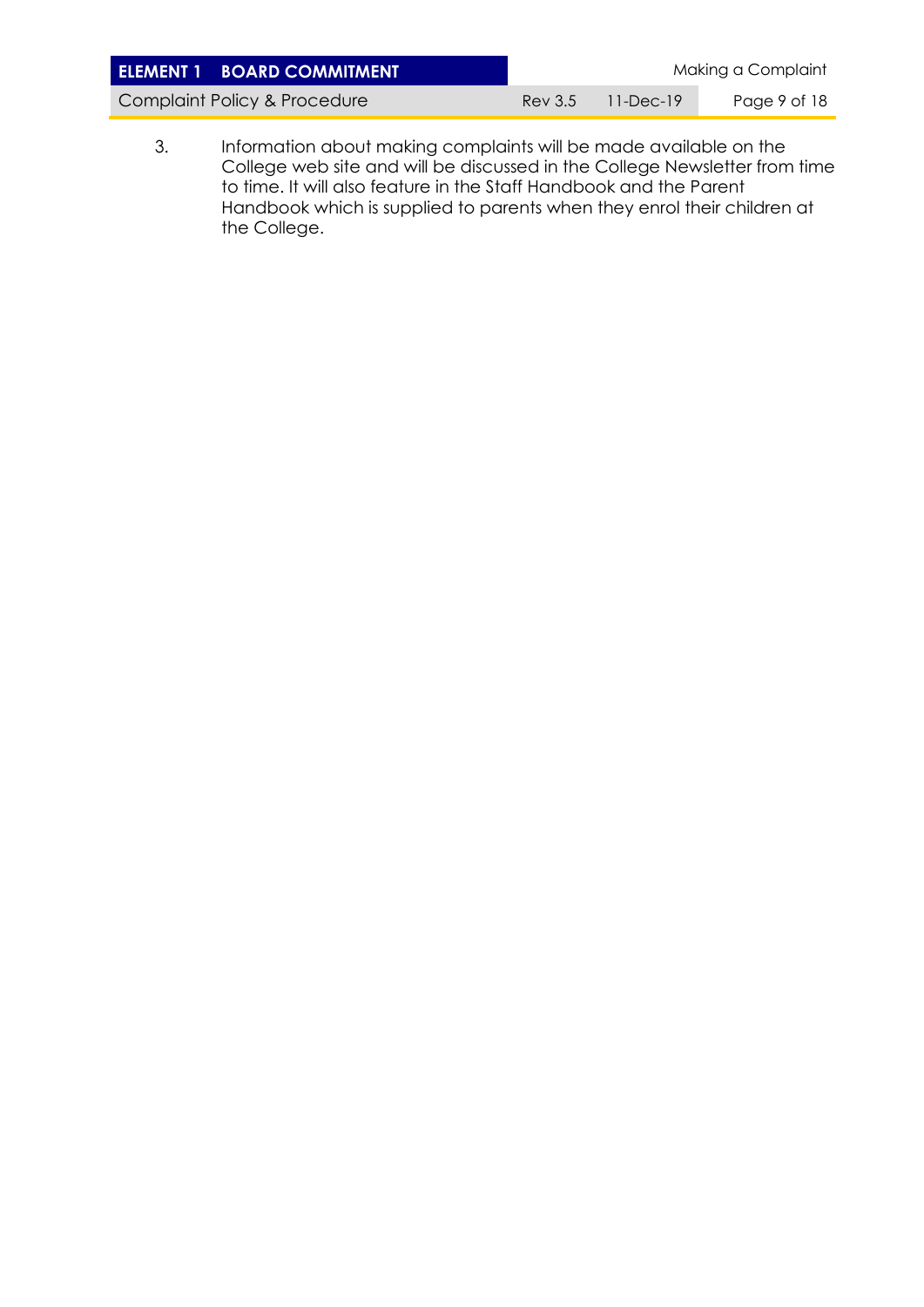| <b>ELEMENT 1 BOARD COMMITMENT</b> |         |           | Making a Complaint |
|-----------------------------------|---------|-----------|--------------------|
| Complaint Policy & Procedure      | Rev 3.5 | 11-Dec-19 | Page 9 of 18       |

3. Information about making complaints will be made available on the College web site and will be discussed in the College Newsletter from time to time. It will also feature in the Staff Handbook and the Parent Handbook which is supplied to parents when they enrol their children at the College.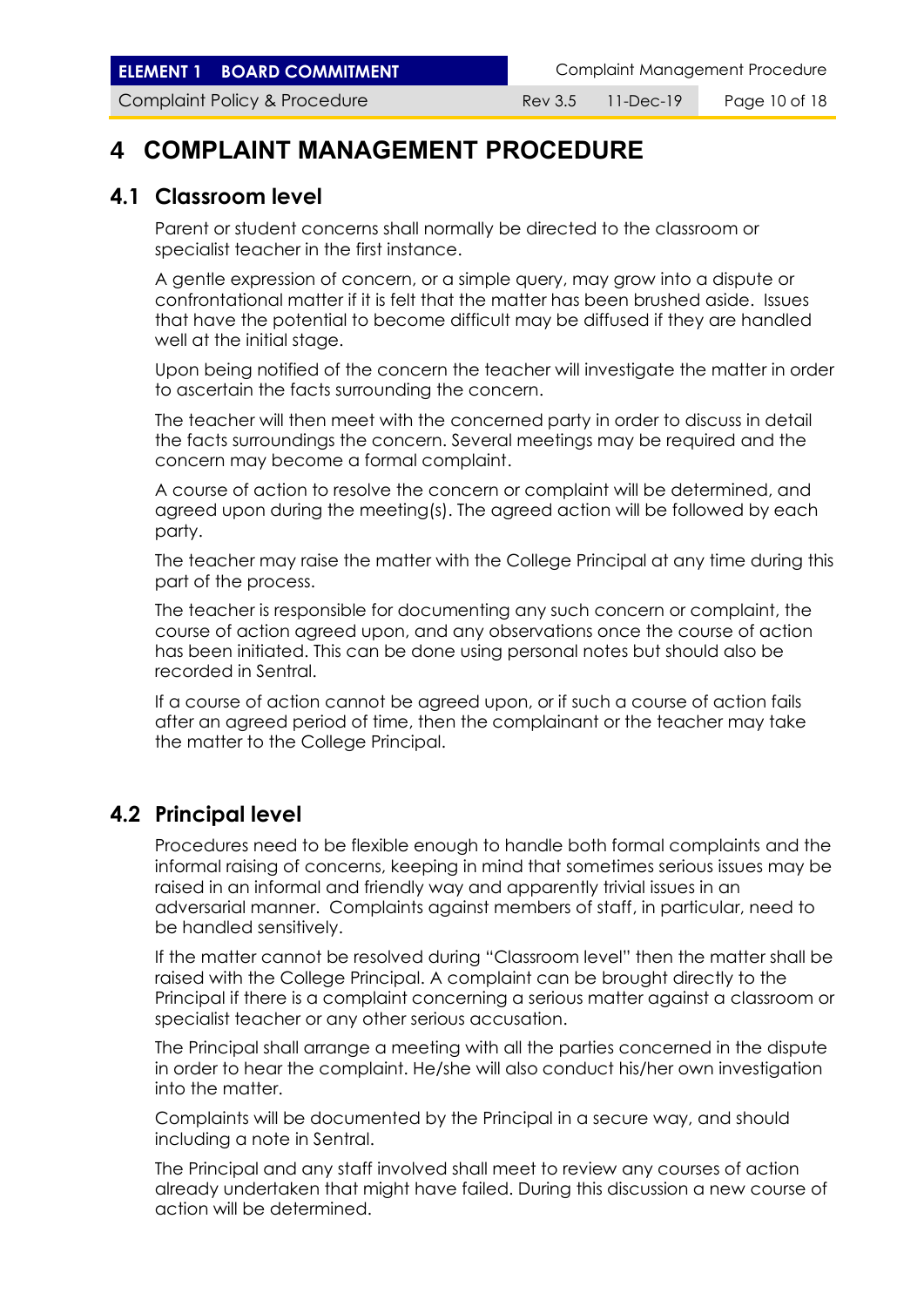**ELEMENT 1 BOARD COMMITMENT** Complaint Management Procedure

Complaint Policy & Procedure **Rev 3.5 11-Dec-19** Page 10 of 18

## **4 COMPLAINT MANAGEMENT PROCEDURE**

#### **4.1 Classroom level**

Parent or student concerns shall normally be directed to the classroom or specialist teacher in the first instance.

A gentle expression of concern, or a simple query, may grow into a dispute or confrontational matter if it is felt that the matter has been brushed aside. Issues that have the potential to become difficult may be diffused if they are handled well at the initial stage.

Upon being notified of the concern the teacher will investigate the matter in order to ascertain the facts surrounding the concern.

The teacher will then meet with the concerned party in order to discuss in detail the facts surroundings the concern. Several meetings may be required and the concern may become a formal complaint.

A course of action to resolve the concern or complaint will be determined, and agreed upon during the meeting(s). The agreed action will be followed by each party.

The teacher may raise the matter with the College Principal at any time during this part of the process.

The teacher is responsible for documenting any such concern or complaint, the course of action agreed upon, and any observations once the course of action has been initiated. This can be done using personal notes but should also be recorded in Sentral.

If a course of action cannot be agreed upon, or if such a course of action fails after an agreed period of time, then the complainant or the teacher may take the matter to the College Principal.

#### **4.2 Principal level**

Procedures need to be flexible enough to handle both formal complaints and the informal raising of concerns, keeping in mind that sometimes serious issues may be raised in an informal and friendly way and apparently trivial issues in an adversarial manner. Complaints against members of staff, in particular, need to be handled sensitively.

If the matter cannot be resolved during "Classroom level" then the matter shall be raised with the College Principal. A complaint can be brought directly to the Principal if there is a complaint concerning a serious matter against a classroom or specialist teacher or any other serious accusation.

The Principal shall arrange a meeting with all the parties concerned in the dispute in order to hear the complaint. He/she will also conduct his/her own investigation into the matter.

Complaints will be documented by the Principal in a secure way, and should including a note in Sentral.

The Principal and any staff involved shall meet to review any courses of action already undertaken that might have failed. During this discussion a new course of action will be determined.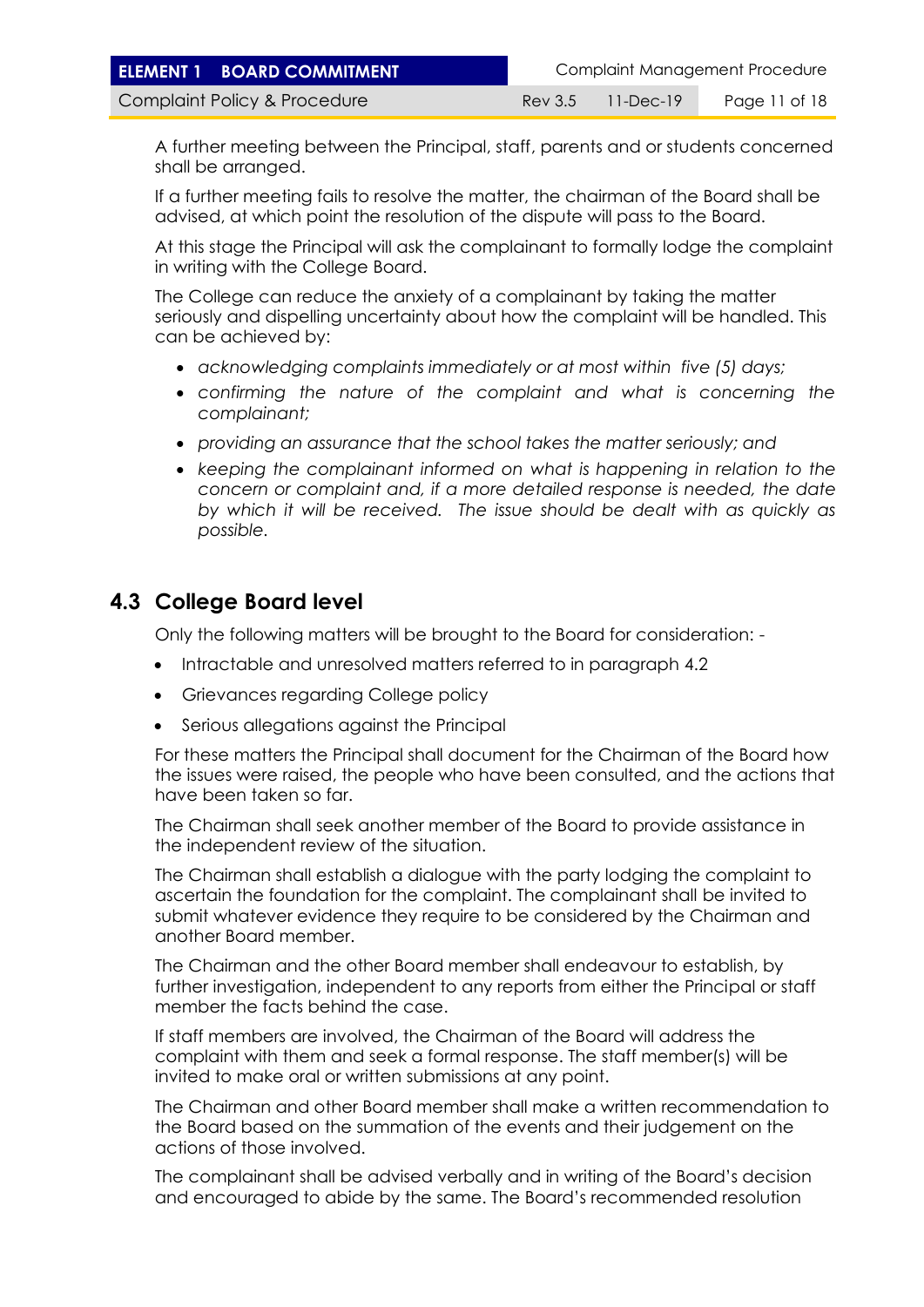A further meeting between the Principal, staff, parents and or students concerned shall be arranged.

If a further meeting fails to resolve the matter, the chairman of the Board shall be advised, at which point the resolution of the dispute will pass to the Board.

At this stage the Principal will ask the complainant to formally lodge the complaint in writing with the College Board.

The College can reduce the anxiety of a complainant by taking the matter seriously and dispelling uncertainty about how the complaint will be handled. This can be achieved by:

- *acknowledging complaints immediately or at most within five (5) days;*
- *confirming the nature of the complaint and what is concerning the complainant;*
- *providing an assurance that the school takes the matter seriously; and*
- *keeping the complainant informed on what is happening in relation to the concern or complaint and, if a more detailed response is needed, the date by which it will be received. The issue should be dealt with as quickly as possible.*

#### **4.3 College Board level**

Only the following matters will be brought to the Board for consideration: -

- Intractable and unresolved matters referred to in paragraph 4.2
- Grievances regarding College policy
- Serious allegations against the Principal

For these matters the Principal shall document for the Chairman of the Board how the issues were raised, the people who have been consulted, and the actions that have been taken so far.

The Chairman shall seek another member of the Board to provide assistance in the independent review of the situation.

The Chairman shall establish a dialogue with the party lodging the complaint to ascertain the foundation for the complaint. The complainant shall be invited to submit whatever evidence they require to be considered by the Chairman and another Board member.

The Chairman and the other Board member shall endeavour to establish, by further investigation, independent to any reports from either the Principal or staff member the facts behind the case.

If staff members are involved, the Chairman of the Board will address the complaint with them and seek a formal response. The staff member(s) will be invited to make oral or written submissions at any point.

The Chairman and other Board member shall make a written recommendation to the Board based on the summation of the events and their judgement on the actions of those involved.

The complainant shall be advised verbally and in writing of the Board's decision and encouraged to abide by the same. The Board's recommended resolution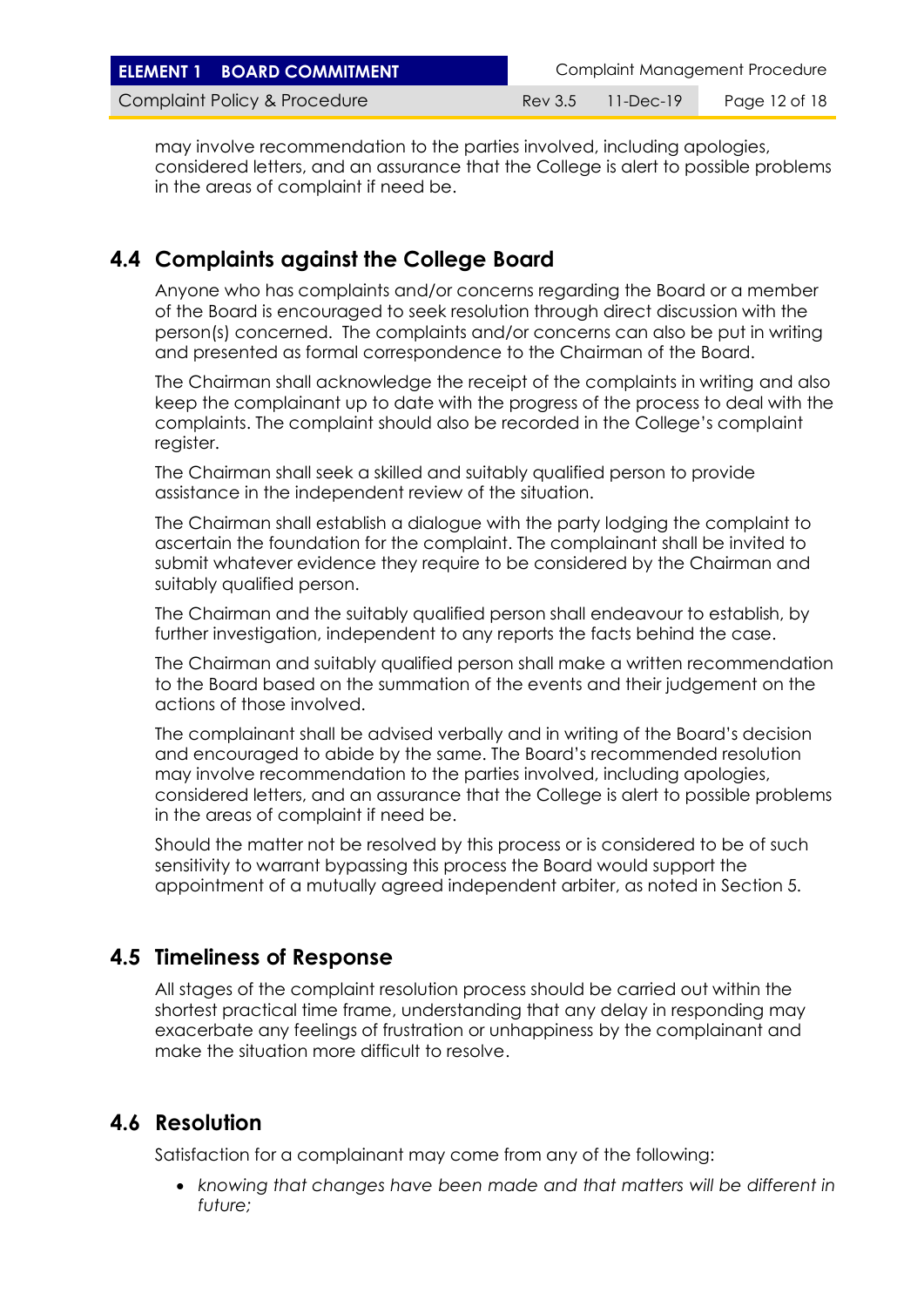| <b>ELEMENT 1 BOARD COMMITMENT</b> |         |             | Complaint Management Procedure |
|-----------------------------------|---------|-------------|--------------------------------|
| Complaint Policy & Procedure      | Rev 3.5 | - 11-Dec-19 | Page 12 of 18                  |

may involve recommendation to the parties involved, including apologies, considered letters, and an assurance that the College is alert to possible problems in the areas of complaint if need be.

#### **4.4 Complaints against the College Board**

Anyone who has complaints and/or concerns regarding the Board or a member of the Board is encouraged to seek resolution through direct discussion with the person(s) concerned. The complaints and/or concerns can also be put in writing and presented as formal correspondence to the Chairman of the Board.

The Chairman shall acknowledge the receipt of the complaints in writing and also keep the complainant up to date with the progress of the process to deal with the complaints. The complaint should also be recorded in the College's complaint register.

The Chairman shall seek a skilled and suitably qualified person to provide assistance in the independent review of the situation.

The Chairman shall establish a dialogue with the party lodging the complaint to ascertain the foundation for the complaint. The complainant shall be invited to submit whatever evidence they require to be considered by the Chairman and suitably qualified person.

The Chairman and the suitably qualified person shall endeavour to establish, by further investigation, independent to any reports the facts behind the case.

The Chairman and suitably qualified person shall make a written recommendation to the Board based on the summation of the events and their judgement on the actions of those involved.

The complainant shall be advised verbally and in writing of the Board's decision and encouraged to abide by the same. The Board's recommended resolution may involve recommendation to the parties involved, including apologies, considered letters, and an assurance that the College is alert to possible problems in the areas of complaint if need be.

Should the matter not be resolved by this process or is considered to be of such sensitivity to warrant bypassing this process the Board would support the appointment of a mutually agreed independent arbiter, as noted in Section 5.

#### **4.5 Timeliness of Response**

All stages of the complaint resolution process should be carried out within the shortest practical time frame, understanding that any delay in responding may exacerbate any feelings of frustration or unhappiness by the complainant and make the situation more difficult to resolve.

#### **4.6 Resolution**

Satisfaction for a complainant may come from any of the following:

• *knowing that changes have been made and that matters will be different in future;*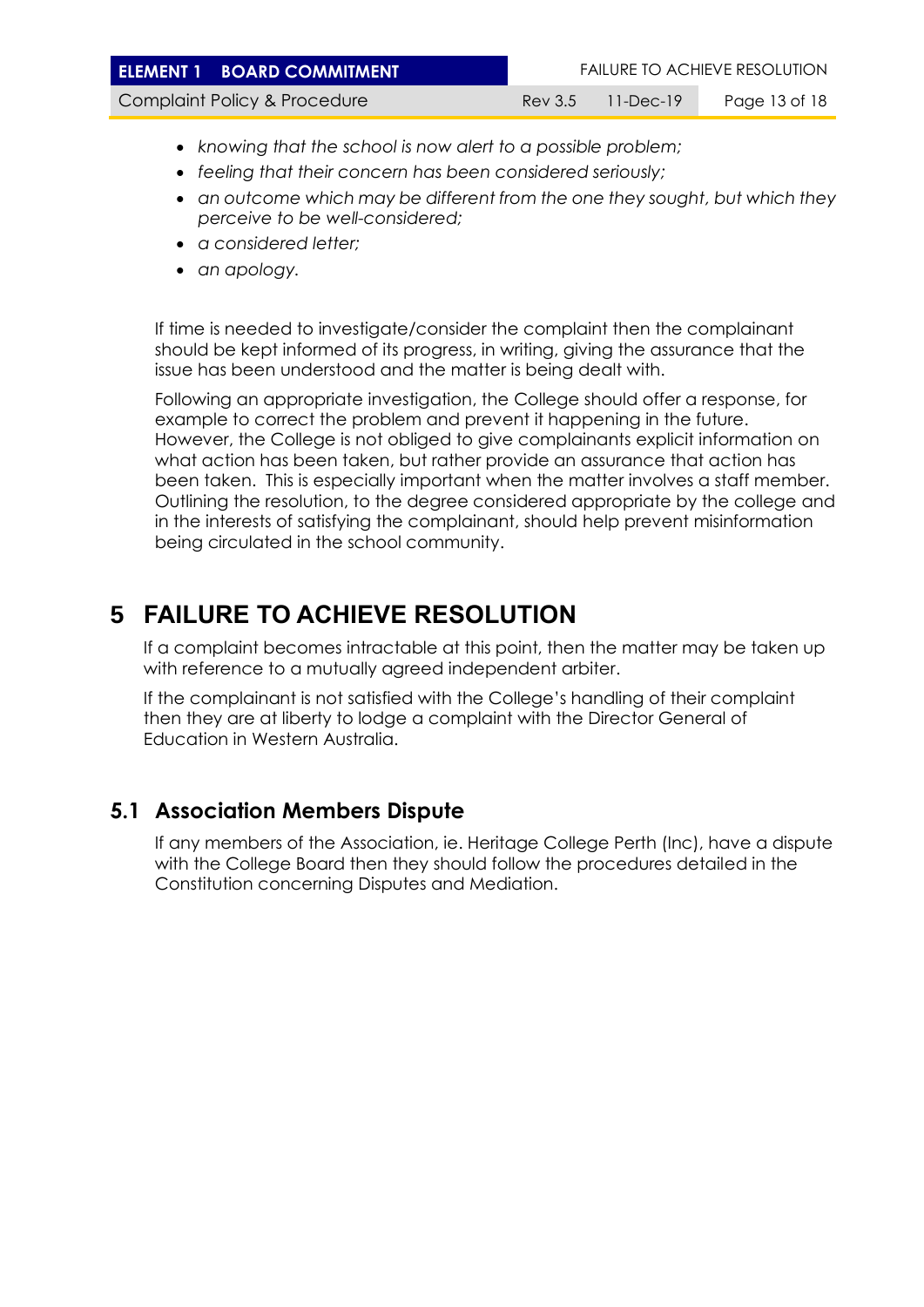| <b>ELEMENT 1 BOARD COMMITMENT</b> |                   | <b>FAILURE TO ACHIEVE RESOLUTION</b> |
|-----------------------------------|-------------------|--------------------------------------|
| Complaint Policy & Procedure      | Rev 3.5 11-Dec-19 | Page 13 of 18                        |
|                                   |                   |                                      |

- *knowing that the school is now alert to a possible problem;*
- *feeling that their concern has been considered seriously;*
- *an outcome which may be different from the one they sought, but which they perceive to be well-considered;*
- *a considered letter;*
- *an apology.*

If time is needed to investigate/consider the complaint then the complainant should be kept informed of its progress, in writing, giving the assurance that the issue has been understood and the matter is being dealt with.

Following an appropriate investigation, the College should offer a response, for example to correct the problem and prevent it happening in the future. However, the College is not obliged to give complainants explicit information on what action has been taken, but rather provide an assurance that action has been taken. This is especially important when the matter involves a staff member. Outlining the resolution, to the degree considered appropriate by the college and in the interests of satisfying the complainant, should help prevent misinformation being circulated in the school community.

# **5 FAILURE TO ACHIEVE RESOLUTION**

If a complaint becomes intractable at this point, then the matter may be taken up with reference to a mutually agreed independent arbiter.

If the complainant is not satisfied with the College's handling of their complaint then they are at liberty to lodge a complaint with the Director General of Education in Western Australia.

## **5.1 Association Members Dispute**

If any members of the Association, ie. Heritage College Perth (Inc), have a dispute with the College Board then they should follow the procedures detailed in the Constitution concerning Disputes and Mediation.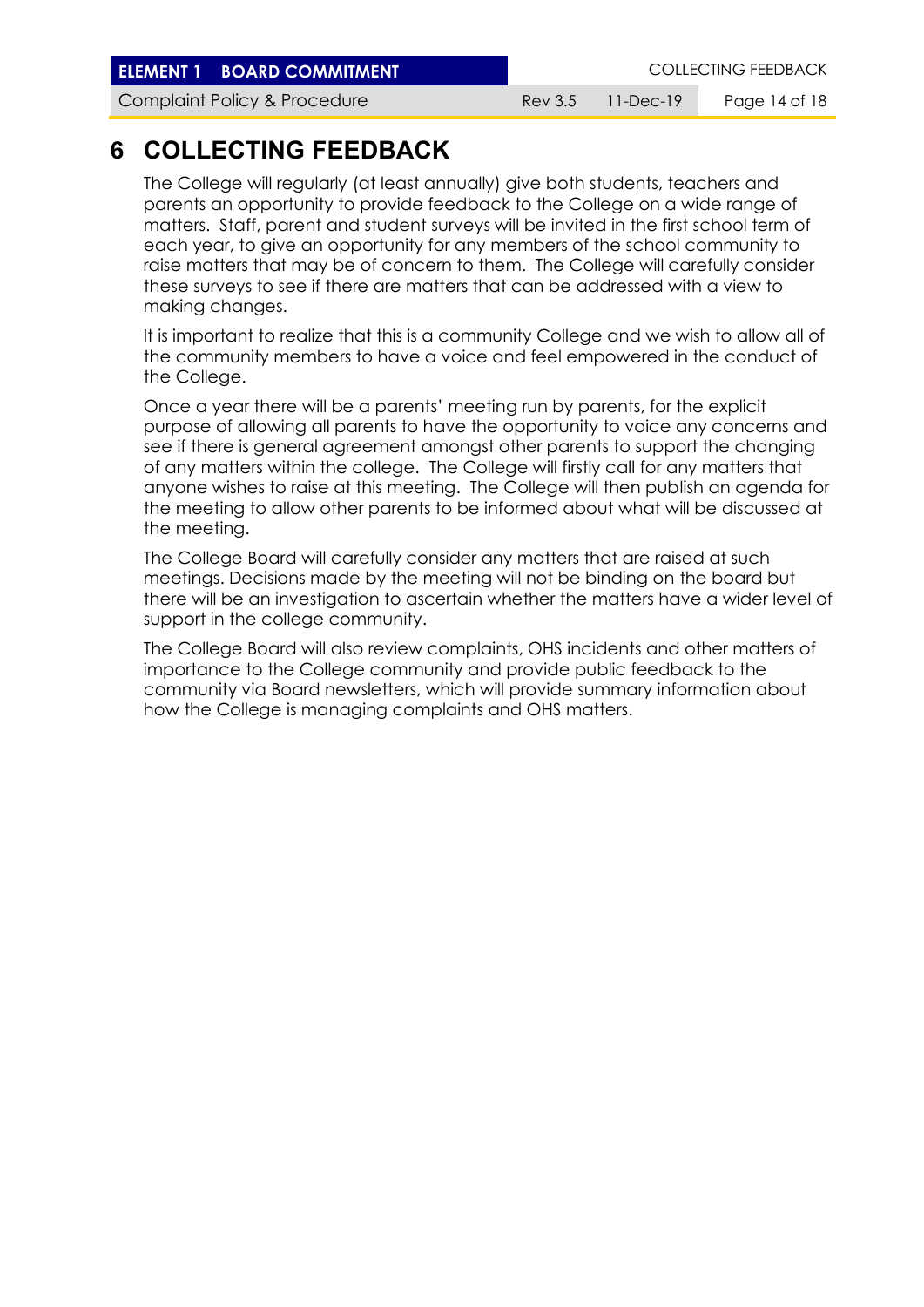**ELEMENT 1 BOARD COMMITMENT ELEMENT COLLECTING FEEDBACK** 

Complaint Policy & Procedure **Rev 3.5 11-Dec-19** Page 14 of 18

## **6 COLLECTING FEEDBACK**

The College will regularly (at least annually) give both students, teachers and parents an opportunity to provide feedback to the College on a wide range of matters. Staff, parent and student surveys will be invited in the first school term of each year, to give an opportunity for any members of the school community to raise matters that may be of concern to them. The College will carefully consider these surveys to see if there are matters that can be addressed with a view to making changes.

It is important to realize that this is a community College and we wish to allow all of the community members to have a voice and feel empowered in the conduct of the College.

Once a year there will be a parents' meeting run by parents, for the explicit purpose of allowing all parents to have the opportunity to voice any concerns and see if there is general agreement amongst other parents to support the changing of any matters within the college. The College will firstly call for any matters that anyone wishes to raise at this meeting. The College will then publish an agenda for the meeting to allow other parents to be informed about what will be discussed at the meeting.

The College Board will carefully consider any matters that are raised at such meetings. Decisions made by the meeting will not be binding on the board but there will be an investigation to ascertain whether the matters have a wider level of support in the college community.

The College Board will also review complaints, OHS incidents and other matters of importance to the College community and provide public feedback to the community via Board newsletters, which will provide summary information about how the College is managing complaints and OHS matters.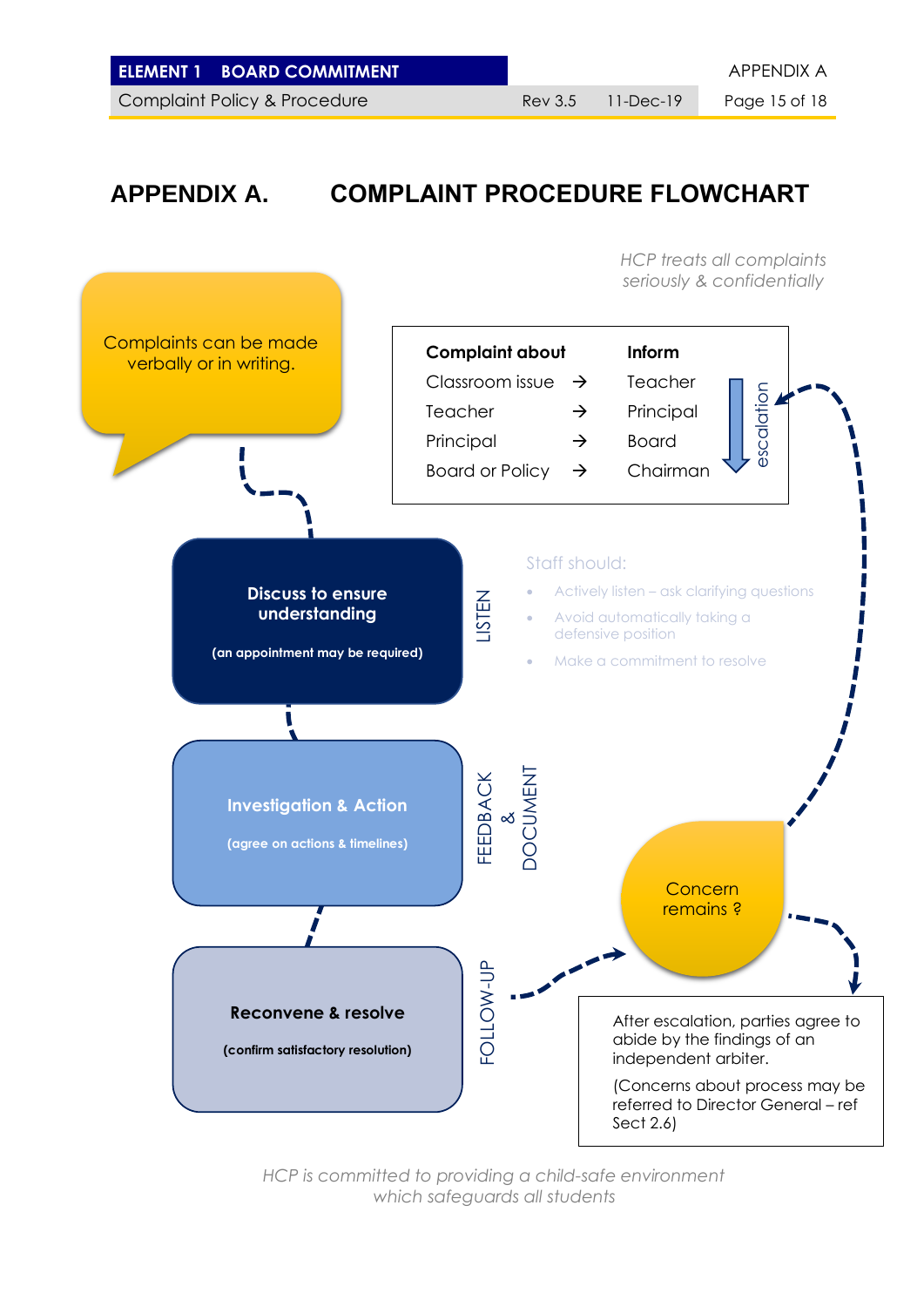|  | <b>ELEMENT 1 BOARD COMMITMENT</b> |
|--|-----------------------------------|
|--|-----------------------------------|

Complaint Policy & Procedure Rev 3.5 11-Dec-19 Page 15 of 18

**ELEMENT APPENDIX A** 

# **APPENDIX A. COMPLAINT PROCEDURE FLOWCHART**



*HCP is committed to providing a child-safe environment which safeguards all students*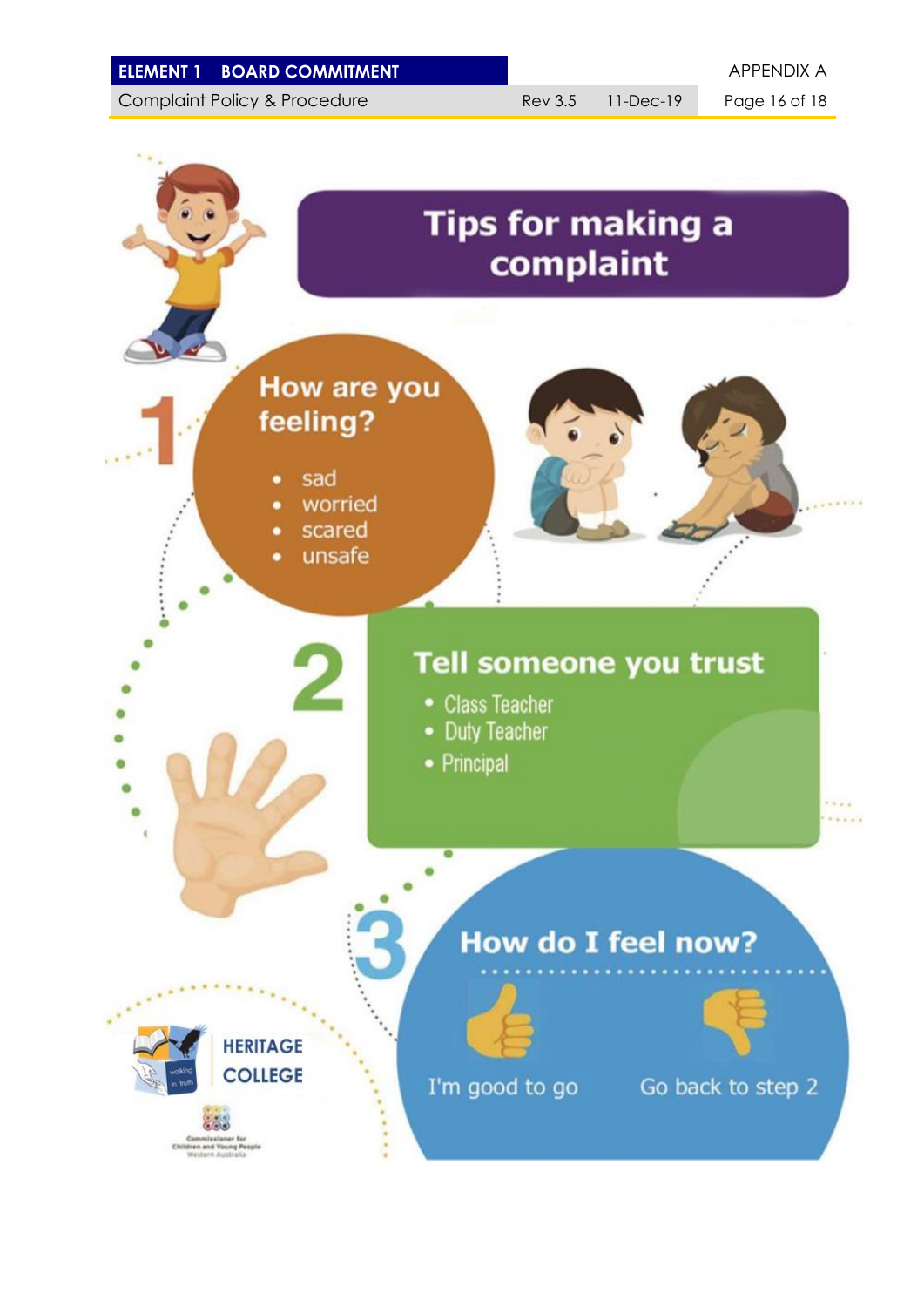| <b>ELEMENT 1 BOARD COMMITMENT</b> |
|-----------------------------------|
|                                   |

Complaint Policy & Procedure Rev 3.5 11-Dec-19 Page 16 of 18

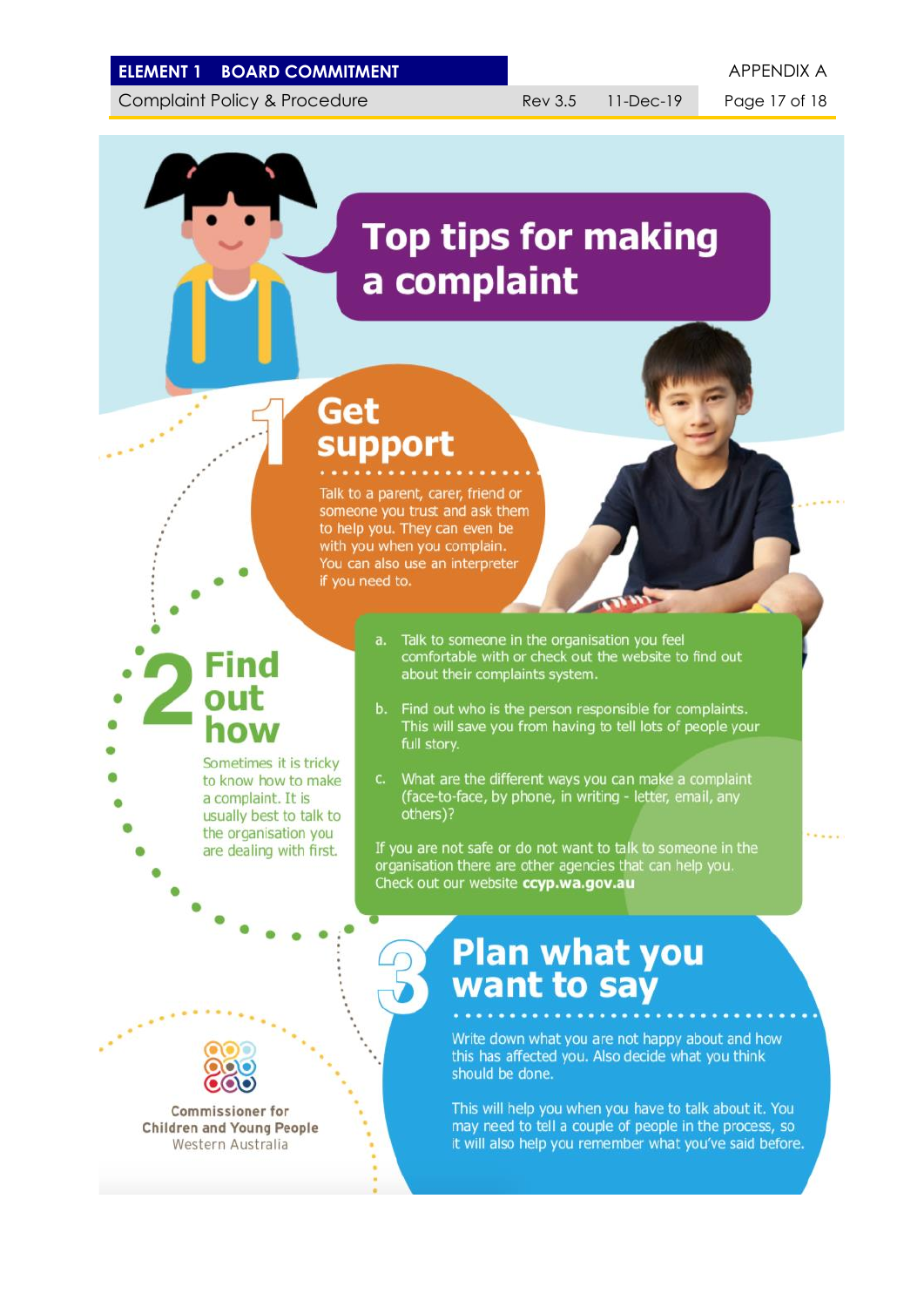#### **ELEMENT 1 BOARD COMMITMENT APPENDIX A**

Complaint Policy & Procedure Rev 3.5 11-Dec-19 Page 17 of 18

 $1.11$ 

# **Top tips for making** a complaint

# Get support

Talk to a parent, carer, friend or someone you trust and ask them to help you. They can even be with you when you complain. You can also use an interpreter if you need to.

# **Find** out how

Sometimes it is tricky to know how to make a complaint. It is usually best to talk to the organisation you are dealing with first.

- Talk to someone in the organisation you feel comfortable with or check out the website to find out about their complaints system.
- b. Find out who is the person responsible for complaints. This will save you from having to tell lots of people your full story.
- What are the different ways you can make a complaint (face-to-face, by phone, in writing - letter, email, any others)?

If you are not safe or do not want to talk to someone in the organisation there are other agencies that can help you. Check out our website ccyp.wa.gov.au

# **Plan what you** want to say

Write down what you are not happy about and how this has affected you. Also decide what you think should be done.

This will help you when you have to talk about it. You may need to tell a couple of people in the process, so it will also help you remember what you've said before.



Commissioner for **Children and Young People** Western Australia